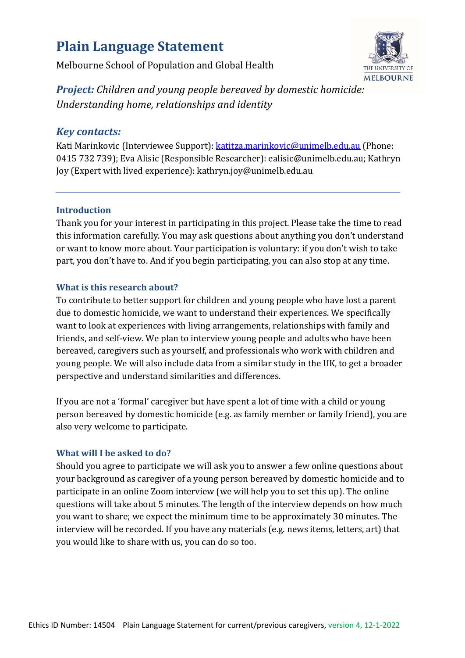# **Plain Language Statement**

Melbourne School of Population and Global Health



*Project: Children and young people bereaved by domestic homicide: Understanding home, relationships and identity*

## *Key contacts:*

Kati Marinkovic (Interviewee Support)[: katitza.marinkovic@unimelb.edu.au](mailto:katitza.marinkovic@unimelb.edu.au) (Phone: 0415 732 739); Eva Alisic (Responsible Researcher): ealisic@unimelb.edu.au; Kathryn Joy (Expert with lived experience): kathryn.joy@unimelb.edu.au

## **Introduction**

Thank you for your interest in participating in this project. Please take the time to read this information carefully. You may ask questions about anything you don't understand or want to know more about. Your participation is voluntary: if you don't wish to take part, you don't have to. And if you begin participating, you can also stop at any time.

## **What is this research about?**

To contribute to better support for children and young people who have lost a parent due to domestic homicide, we want to understand their experiences. We specifically want to look at experiences with living arrangements, relationships with family and friends, and self-view. We plan to interview young people and adults who have been bereaved, caregivers such as yourself, and professionals who work with children and young people. We will also include data from a similar study in the UK, to get a broader perspective and understand similarities and differences.

If you are not a 'formal' caregiver but have spent a lot of time with a child or young person bereaved by domestic homicide (e.g. as family member or family friend), you are also very welcome to participate.

## **What will I be asked to do?**

Should you agree to participate we will ask you to answer a few online questions about your background as caregiver of a young person bereaved by domestic homicide and to participate in an online Zoom interview (we will help you to set this up). The online questions will take about 5 minutes. The length of the interview depends on how much you want to share; we expect the minimum time to be approximately 30 minutes. The interview will be recorded. If you have any materials (e.g. news items, letters, art) that you would like to share with us, you can do so too.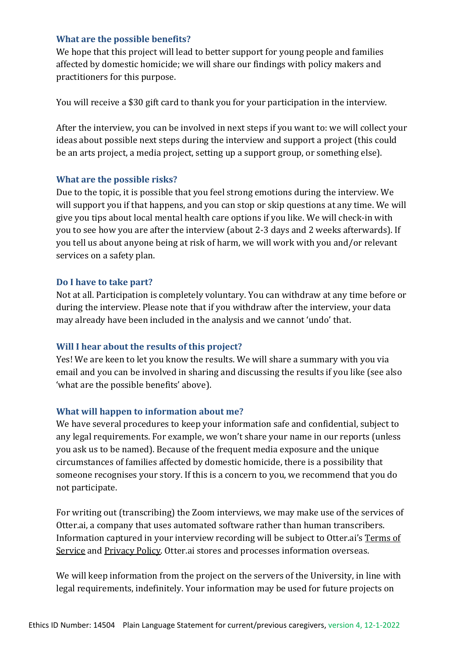#### **What are the possible benefits?**

We hope that this project will lead to better support for young people and families affected by domestic homicide; we will share our findings with policy makers and practitioners for this purpose.

You will receive a \$30 gift card to thank you for your participation in the interview.

After the interview, you can be involved in next steps if you want to: we will collect your ideas about possible next steps during the interview and support a project (this could be an arts project, a media project, setting up a support group, or something else).

#### **What are the possible risks?**

Due to the topic, it is possible that you feel strong emotions during the interview. We will support you if that happens, and you can stop or skip questions at any time. We will give you tips about local mental health care options if you like. We will check-in with you to see how you are after the interview (about 2-3 days and 2 weeks afterwards). If you tell us about anyone being at risk of harm, we will work with you and/or relevant services on a safety plan.

#### **Do I have to take part?**

Not at all. Participation is completely voluntary. You can withdraw at any time before or during the interview. Please note that if you withdraw after the interview, your data may already have been included in the analysis and we cannot 'undo' that.

#### **Will I hear about the results of this project?**

Yes! We are keen to let you know the results. We will share a summary with you via email and you can be involved in sharing and discussing the results if you like (see also 'what are the possible benefits' above).

#### **What will happen to information about me?**

We have several procedures to keep your information safe and confidential, subject to any legal requirements. For example, we won't share your name in our reports (unless you ask us to be named). Because of the frequent media exposure and the unique circumstances of families affected by domestic homicide, there is a possibility that someone recognises your story. If this is a concern to you, we recommend that you do not participate.

For writing out (transcribing) the Zoom interviews, we may make use of the services of Otter.ai, a company that uses automated software rather than human transcribers. Information captured in your interview recording will be subject to Otter.ai's [Terms of](https://blog.otter.ai/terms-of-service/)  [Service](https://blog.otter.ai/terms-of-service/) and [Privacy Policy.](https://otter.ai/privacy) Otter.ai stores and processes information overseas.

We will keep information from the project on the servers of the University, in line with legal requirements, indefinitely. Your information may be used for future projects on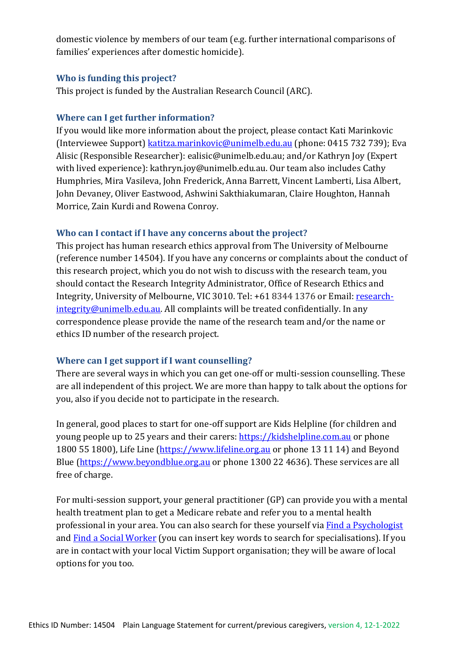domestic violence by members of our team (e.g. further international comparisons of families' experiences after domestic homicide).

#### **Who is funding this project?**

This project is funded by the Australian Research Council (ARC).

## **Where can I get further information?**

If you would like more information about the project, please contact Kati Marinkovic (Interviewee Support) [katitza.marinkovic@unimelb.edu.au](mailto:katitza.marinkovic@unimelb.edu.au) (phone: 0415 732 739); Eva Alisic (Responsible Researcher): ealisic@unimelb.edu.au; and/or Kathryn Joy (Expert with lived experience): kathryn.joy@unimelb.edu.au. Our team also includes Cathy Humphries, Mira Vasileva, John Frederick, Anna Barrett, Vincent Lamberti, Lisa Albert, John Devaney, Oliver Eastwood, Ashwini Sakthiakumaran, Claire Houghton, Hannah Morrice, Zain Kurdi and Rowena Conroy.

### **Who can I contact if I have any concerns about the project?**

This project has human research ethics approval from The University of Melbourne (reference number 14504). If you have any concerns or complaints about the conduct of this research project, which you do not wish to discuss with the research team, you should contact the Research Integrity Administrator, Office of Research Ethics and Integrity, University of Melbourne, VIC 3010. Tel: +61 8344 1376 or Email: [research](mailto:research-integrity@unimelb.edu.au)[integrity@unimelb.edu.au.](mailto:research-integrity@unimelb.edu.au) All complaints will be treated confidentially. In any correspondence please provide the name of the research team and/or the name or ethics ID number of the research project.

## **Where can I get support if I want counselling?**

There are several ways in which you can get one-off or multi-session counselling. These are all independent of this project. We are more than happy to talk about the options for you, also if you decide not to participate in the research.

In general, good places to start for one-off support are Kids Helpline (for children and young people up to 25 years and their carers: [https://kidshelpline.com.au](https://kidshelpline.com.au/) or phone 1800 55 1800), Life Line [\(https://www.lifeline.org.au](https://www.lifeline.org.au/) or phone 13 11 14) and Beyond Blue [\(https://www.beyondblue.org.au](https://www.beyondblue.org.au/) or phone 1300 22 4636). These services are all free of charge.

For multi-session support, your general practitioner (GP) can provide you with a mental health treatment plan to get a Medicare rebate and refer you to a mental health professional in your area. You can also search for these yourself via **Find [a Psychologist](https://www.psychology.org.au/Find-a-Psychologist)** and Find a Social [Worker](https://www.aasw.asn.au/find-a-social-worker/search/) (you can insert key words to search for specialisations). If you are in contact with your local Victim Support organisation; they will be aware of local options for you too.